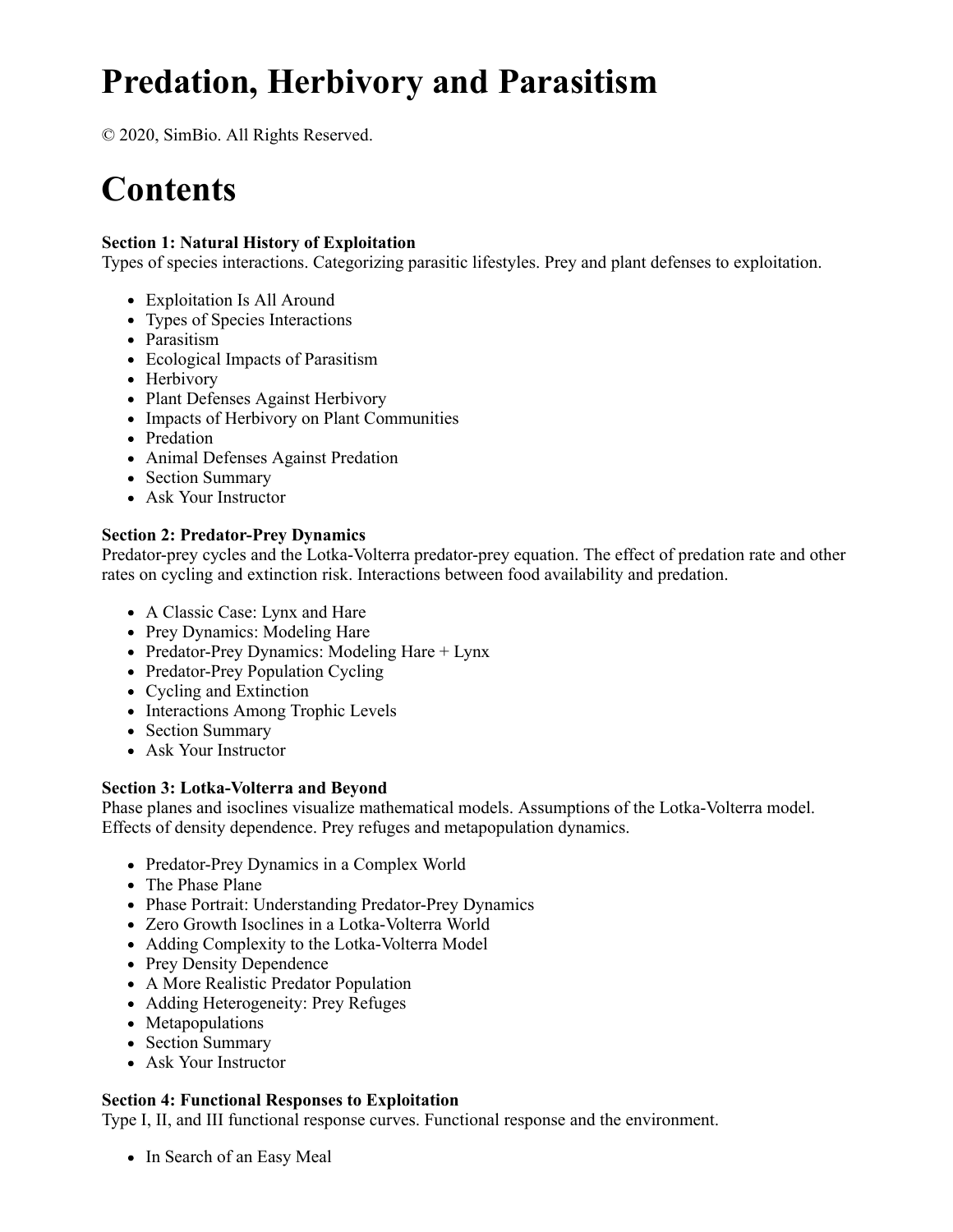# **Predation, Herbivory and Parasitism**

© 2020, SimBio. All Rights Reserved.

# **Contents**

## **Section 1: Natural History of Exploitation**

Types of species interactions. Categorizing parasitic lifestyles. Prey and plant defenses to exploitation.

- Exploitation Is All Around
- Types of Species Interactions
- Parasitism
- Ecological Impacts of Parasitism
- Herbivory
- Plant Defenses Against Herbivory
- Impacts of Herbivory on Plant Communities
- Predation
- Animal Defenses Against Predation
- Section Summary
- Ask Your Instructor

## **Section 2: Predator-Prey Dynamics**

Predator-prey cycles and the Lotka-Volterra predator-prey equation. The effect of predation rate and other rates on cycling and extinction risk. Interactions between food availability and predation.

- A Classic Case: Lynx and Hare
- Prey Dynamics: Modeling Hare
- Predator-Prey Dynamics: Modeling Hare  $+$  Lynx
- Predator-Prey Population Cycling
- Cycling and Extinction
- Interactions Among Trophic Levels
- Section Summary
- Ask Your Instructor

#### **Section 3: Lotka-Volterra and Beyond**

Phase planes and isoclines visualize mathematical models. Assumptions of the Lotka-Volterra model. Effects of density dependence. Prey refuges and metapopulation dynamics.

- Predator-Prey Dynamics in a Complex World
- The Phase Plane
- Phase Portrait: Understanding Predator-Prey Dynamics
- Zero Growth Isoclines in a Lotka-Volterra World
- Adding Complexity to the Lotka-Volterra Model
- Prey Density Dependence
- A More Realistic Predator Population
- Adding Heterogeneity: Prey Refuges
- Metapopulations
- Section Summary
- Ask Your Instructor

#### **Section 4: Functional Responses to Exploitation**

Type I, II, and III functional response curves. Functional response and the environment.

• In Search of an Easy Meal